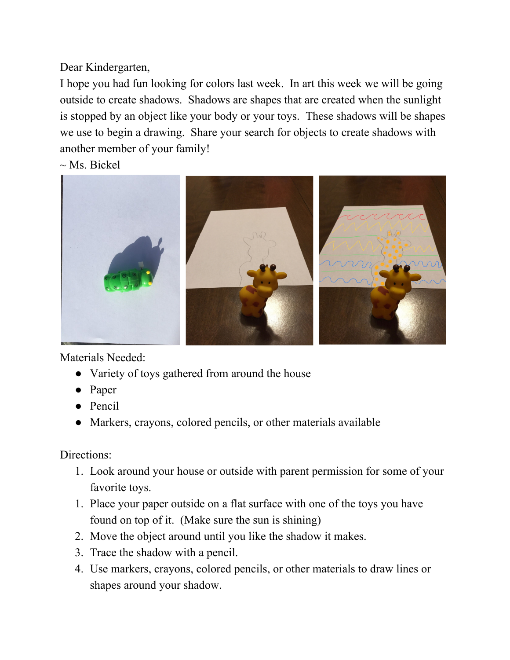Dear Kindergarten,

I hope you had fun looking for colors last week. In art this week we will be going outside to create shadows. Shadows are shapes that are created when the sunlight is stopped by an object like your body or your toys. These shadows will be shapes we use to begin a drawing. Share your search for objects to create shadows with another member of your family!

 $\sim$  Ms. Bickel



Materials Needed:

- Variety of toys gathered from around the house
- Paper
- Pencil
- Markers, crayons, colored pencils, or other materials available

## Directions:

- 1. Look around your house or outside with parent permission for some of your favorite toys.
- 1. Place your paper outside on a flat surface with one of the toys you have found on top of it. (Make sure the sun is shining)
- 2. Move the object around until you like the shadow it makes.
- 3. Trace the shadow with a pencil.
- 4. Use markers, crayons, colored pencils, or other materials to draw lines or shapes around your shadow.